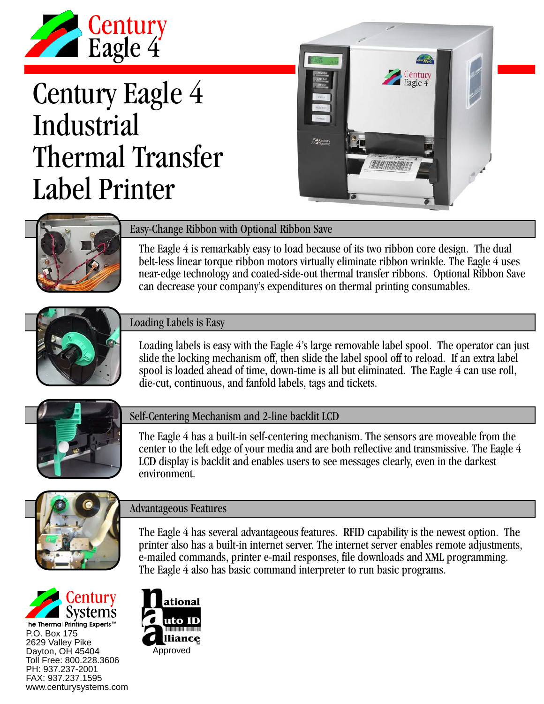

# Century Eagle 4 Industrial Thermal Transfer Label Printer





## Easy-Change Ribbon with Optional Ribbon Save

The Eagle 4 is remarkably easy to load because of its two ribbon core design. The dual belt-less linear torque ribbon motors virtually eliminate ribbon wrinkle. The Eagle 4 uses near-edge technology and coated-side-out thermal transfer ribbons. Optional Ribbon Save can decrease your company's expenditures on thermal printing consumables.



### Loading Labels is Easy

Loading labels is easy with the Eagle 4's large removable label spool. The operator can just slide the locking mechanism off, then slide the label spool off to reload. If an extra label spool is loaded ahead of time, down-time is all but eliminated. The Eagle 4 can use roll, die-cut, continuous, and fanfold labels, tags and tickets.



#### Self-Centering Mechanism and 2-line backlit LCD

The Eagle 4 has a built-in self-centering mechanism. The sensors are moveable from the center to the left edge of your media and are both reflective and transmissive. The Eagle 4 LCD display is backlit and enables users to see messages clearly, even in the darkest environment.



#### Advantageous Features

The Eagle 4 has several advantageous features. RFID capability is the newest option. The printer also has a built-in internet server. The internet server enables remote adjustments, e-mailed commands, printer e-mail responses, file downloads and XML programming. The Eagle 4 also has basic command interpreter to run basic programs.